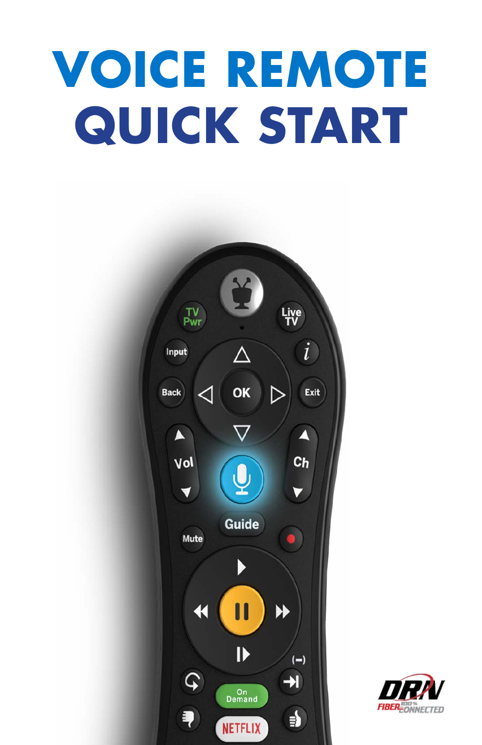# **VOICE REMOTE QUICK START**



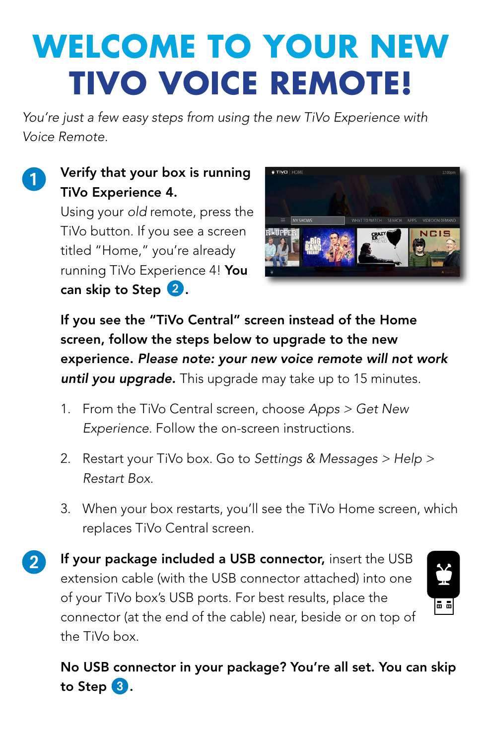## **WELCOME TO YOUR NEW TIVO VOICE REMOTE!**

*You're just a few easy steps from using the new TiVo Experience with Voice Remote.* 



#### Verify that your box is running TiVo Experience 4.

Using your *old* remote, press the TiVo button. If you see a screen titled "Home," you're already running TiVo Experience 4! You can skip to Step  $\overline{2}$ .



If you see the "TiVo Central" screen instead of the Home screen, follow the steps below to upgrade to the new experience. *Please note: your new voice remote will not work until you upgrade.* This upgrade may take up to 15 minutes.

- 1. From the TiVo Central screen, choose *Apps > Get New Experience*. Follow the on-screen instructions.
- 2. Restart your TiVo box. Go to *Settings & Messages > Help > Restart Box*.
- 3. When your box restarts, you'll see the TiVo Home screen, which replaces TiVo Central screen.
- 2 If your package included a USB connector, insert the USB extension cable (with the USB connector attached) into one of your TiVo box's USB ports. For best results, place the connector (at the end of the cable) near, beside or on top of the TiVo box.



No USB connector in your package? You're all set. You can skip to Step 3.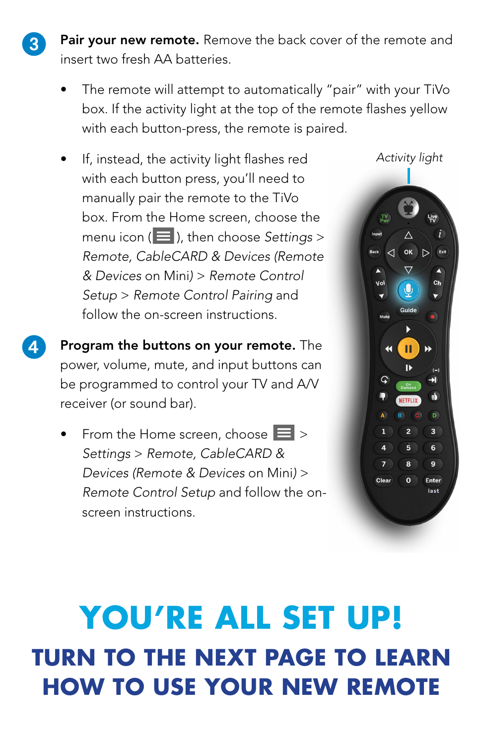Pair your new remote. Remove the back cover of the remote and insert two fresh AA batteries.

- The remote will attempt to automatically "pair" with your TiVo box. If the activity light at the top of the remote flashes yellow with each button-press, the remote is paired.
- If, instead, the activity light flashes red with each button press, you'll need to manually pair the remote to the TiVo box. From the Home screen, choose the menu icon ( $\equiv$ ), then choose *Settings* > *Remote, CableCARD & Devices (Remote & Devices* on Mini*)* > *Remote Control Setup* > *Remote Control Pairing* and follow the on-screen instructions.

3

Program the buttons on your remote. The power, volume, mute, and input buttons can be programmed to control your TV and A/V receiver (or sound bar). 4

> From the Home screen, choose  $\equiv$  > *Settings* > *Remote, CableCARD & Devices (Remote & Devices* on Mini*)* > *Remote Control Setup* and follow the onscreen instructions.



### **YOU'RE ALL SET UP! TURN TO THE NEXT PAGE TO LEARN HOW TO USE YOUR NEW REMOTE**